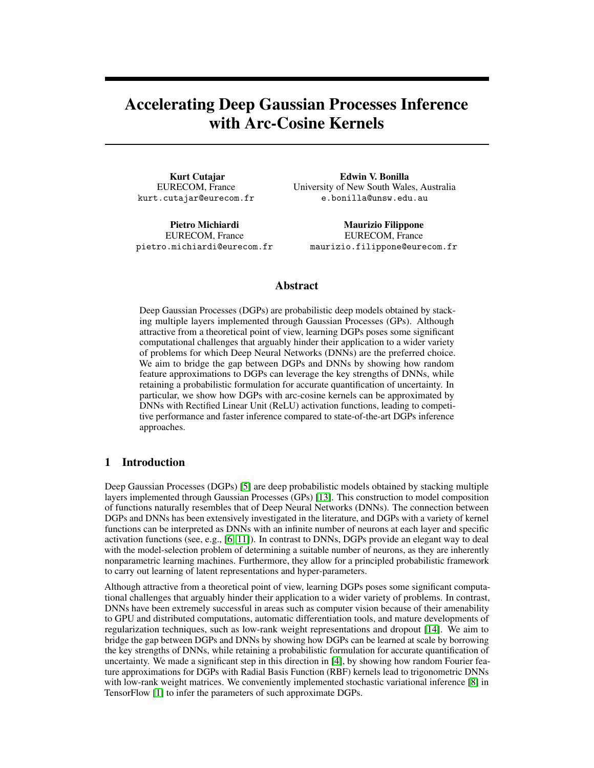# Accelerating Deep Gaussian Processes Inference with Arc-Cosine Kernels

Kurt Cutajar EURECOM, France kurt.cutajar@eurecom.fr

Pietro Michiardi EURECOM, France pietro.michiardi@eurecom.fr

Edwin V. Bonilla University of New South Wales, Australia e.bonilla@unsw.edu.au

Maurizio Filippone EURECOM, France maurizio.filippone@eurecom.fr

## Abstract

Deep Gaussian Processes (DGPs) are probabilistic deep models obtained by stacking multiple layers implemented through Gaussian Processes (GPs). Although attractive from a theoretical point of view, learning DGPs poses some significant computational challenges that arguably hinder their application to a wider variety of problems for which Deep Neural Networks (DNNs) are the preferred choice. We aim to bridge the gap between DGPs and DNNs by showing how random feature approximations to DGPs can leverage the key strengths of DNNs, while retaining a probabilistic formulation for accurate quantification of uncertainty. In particular, we show how DGPs with arc-cosine kernels can be approximated by DNNs with Rectified Linear Unit (ReLU) activation functions, leading to competitive performance and faster inference compared to state-of-the-art DGPs inference approaches.

## 1 Introduction

Deep Gaussian Processes (DGPs) [\[5\]](#page-2-0) are deep probabilistic models obtained by stacking multiple layers implemented through Gaussian Processes (GPs) [\[13\]](#page-3-0). This construction to model composition of functions naturally resembles that of Deep Neural Networks (DNNs). The connection between DGPs and DNNs has been extensively investigated in the literature, and DGPs with a variety of kernel functions can be interpreted as DNNs with an infinite number of neurons at each layer and specific activation functions (see, e.g., [\[6,](#page-3-1) [11\]](#page-3-2)). In contrast to DNNs, DGPs provide an elegant way to deal with the model-selection problem of determining a suitable number of neurons, as they are inherently nonparametric learning machines. Furthermore, they allow for a principled probabilistic framework to carry out learning of latent representations and hyper-parameters.

Although attractive from a theoretical point of view, learning DGPs poses some significant computational challenges that arguably hinder their application to a wider variety of problems. In contrast, DNNs have been extremely successful in areas such as computer vision because of their amenability to GPU and distributed computations, automatic differentiation tools, and mature developments of regularization techniques, such as low-rank weight representations and dropout [\[14\]](#page-3-3). We aim to bridge the gap between DGPs and DNNs by showing how DGPs can be learned at scale by borrowing the key strengths of DNNs, while retaining a probabilistic formulation for accurate quantification of uncertainty. We made a significant step in this direction in [\[4\]](#page-2-1), by showing how random Fourier feature approximations for DGPs with Radial Basis Function (RBF) kernels lead to trigonometric DNNs with low-rank weight matrices. We conveniently implemented stochastic variational inference [\[8\]](#page-3-4) in TensorFlow [\[1\]](#page-2-2) to infer the parameters of such approximate DGPs.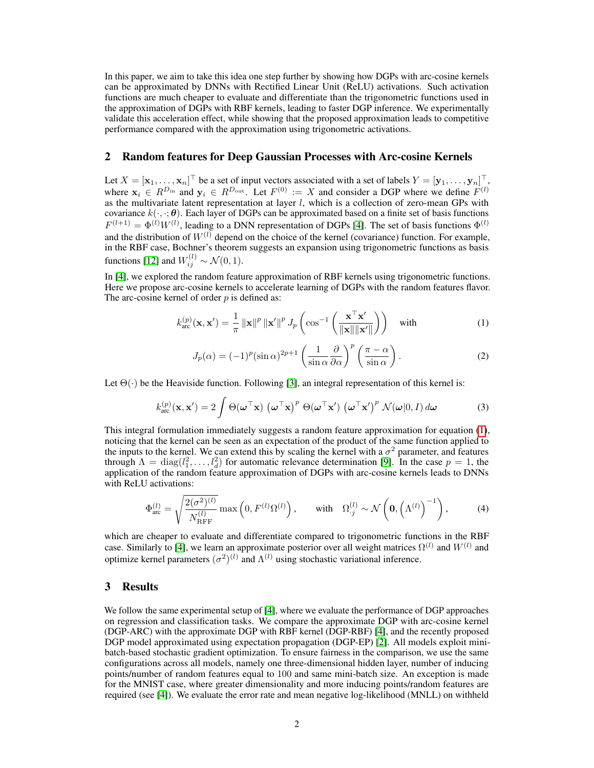In this paper, we aim to take this idea one step further by showing how DGPs with arc-cosine kernels can be approximated by DNNs with Rectified Linear Unit (ReLU) activations. Such activation functions are much cheaper to evaluate and differentiate than the trigonometric functions used in the approximation of DGPs with RBF kernels, leading to faster DGP inference. We experimentally validate this acceleration effect, while showing that the proposed approximation leads to competitive performance compared with the approximation using trigonometric activations.

### 2 Random features for Deep Gaussian Processes with Arc-cosine Kernels

Let  $X = [\mathbf{x}_1, \dots, \mathbf{x}_n]^\top$  be a set of input vectors associated with a set of labels  $Y = [\mathbf{y}_1, \dots, \mathbf{y}_n]^\top$ , where  $x_i \in R^{D_{\text{in}}}$  and  $y_i \in R^{D_{\text{out}}}$ . Let  $F^{(0)} := X$  and consider a DGP where we define  $F^{(l)}$ as the multivariate latent representation at layer l, which is a collection of zero-mean GPs with covariance  $k(\cdot, \cdot; \theta)$ . Each layer of DGPs can be approximated based on a finite set of basis functions  $F^{(l+1)} = \Phi^{(l)} W^{(l)}$ , leading to a DNN representation of DGPs [\[4\]](#page-2-1). The set of basis functions  $\Phi^{(l)}$ and the distribution of  $W^{(l)}$  depend on the choice of the kernel (covariance) function. For example, in the RBF case, Bochner's theorem suggests an expansion using trigonometric functions as basis functions [\[12\]](#page-3-5) and  $W_{ij}^{(l)} \sim \mathcal{N}(0, 1)$ .

In [\[4\]](#page-2-1), we explored the random feature approximation of RBF kernels using trigonometric functions. Here we propose arc-cosine kernels to accelerate learning of DGPs with the random features flavor. The arc-cosine kernel of order  $p$  is defined as:

<span id="page-1-0"></span>
$$
k_{\text{arc}}^{(p)}(\mathbf{x}, \mathbf{x}') = \frac{1}{\pi} ||\mathbf{x}||^p ||\mathbf{x}'||^p J_p\left(\cos^{-1}\left(\frac{\mathbf{x}^\top \mathbf{x}'}{||\mathbf{x}|| ||\mathbf{x}'||}\right)\right) \quad \text{with} \tag{1}
$$

$$
J_p(\alpha) = (-1)^p (\sin \alpha)^{2p+1} \left( \frac{1}{\sin \alpha} \frac{\partial}{\partial \alpha} \right)^p \left( \frac{\pi - \alpha}{\sin \alpha} \right).
$$
 (2)

Let  $\Theta(\cdot)$  be the Heaviside function. Following [\[3\]](#page-2-3), an integral representation of this kernel is:

$$
k_{\text{arc}}^{(p)}(\mathbf{x}, \mathbf{x}') = 2 \int \Theta(\boldsymbol{\omega}^{\top} \mathbf{x}) (\boldsymbol{\omega}^{\top} \mathbf{x})^{p} \Theta(\boldsymbol{\omega}^{\top} \mathbf{x}') (\boldsymbol{\omega}^{\top} \mathbf{x}')^{p} \mathcal{N}(\boldsymbol{\omega}|0, I) d\boldsymbol{\omega}
$$
(3)

This integral formulation immediately suggests a random feature approximation for equation [\(1\)](#page-1-0), noticing that the kernel can be seen as an expectation of the product of the same function applied to the inputs to the kernel. We can extend this by scaling the kernel with a  $\sigma^2$  parameter, and features through  $\Lambda = \text{diag}(l_1^2, \dots, l_d^2)$  for automatic relevance determination [\[9\]](#page-3-6). In the case  $p = 1$ , the application of the random feature approximation of DGPs with arc-cosine kernels leads to DNNs with ReLU activations:

$$
\Phi_{\text{arc}}^{(l)} = \sqrt{\frac{2(\sigma^2)^{(l)}}{N_{\text{RFF}}^{(l)}}} \max\left(0, F^{(l)} \Omega^{(l)}\right), \quad \text{with} \quad \Omega_{\cdot j}^{(l)} \sim \mathcal{N}\left(\mathbf{0}, \left(\Lambda^{(l)}\right)^{-1}\right), \tag{4}
$$

which are cheaper to evaluate and differentiate compared to trigonometric functions in the RBF case. Similarly to [\[4\]](#page-2-1), we learn an approximate posterior over all weight matrices  $\Omega^{(l)}$  and  $W^{(l)}$  and optimize kernel parameters  $(\sigma^2)^{(l)}$  and  $\Lambda^{(l)}$  using stochastic variational inference.

### 3 Results

We follow the same experimental setup of [\[4\]](#page-2-1), where we evaluate the performance of DGP approaches on regression and classification tasks. We compare the approximate DGP with arc-cosine kernel (DGP-ARC) with the approximate DGP with RBF kernel (DGP-RBF) [\[4\]](#page-2-1), and the recently proposed DGP model approximated using expectation propagation (DGP-EP) [\[2\]](#page-2-4). All models exploit minibatch-based stochastic gradient optimization. To ensure fairness in the comparison, we use the same configurations across all models, namely one three-dimensional hidden layer, number of inducing points/number of random features equal to 100 and same mini-batch size. An exception is made for the MNIST case, where greater dimensionality and more inducing points/random features are required (see [\[4\]](#page-2-1)). We evaluate the error rate and mean negative log-likelihood (MNLL) on withheld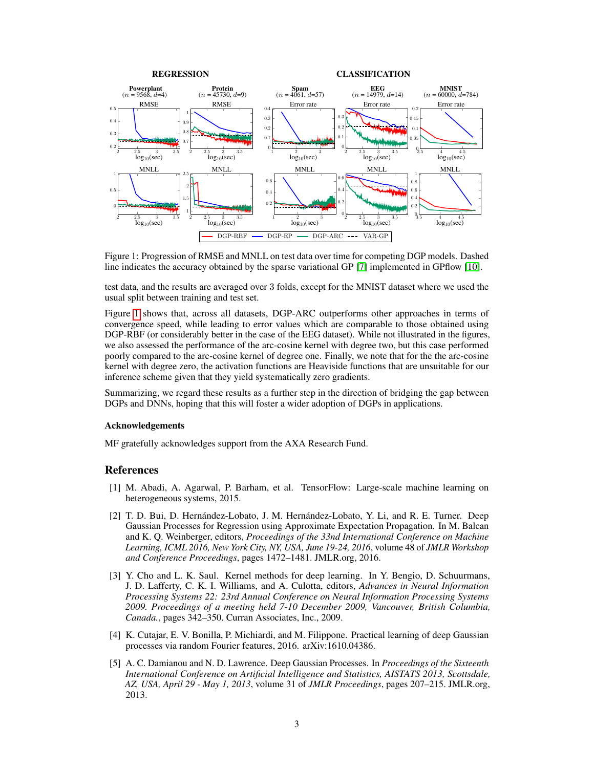

<span id="page-2-5"></span>Figure 1: Progression of RMSE and MNLL on test data over time for competing DGP models. Dashed line indicates the accuracy obtained by the sparse variational GP [\[7\]](#page-3-7) implemented in GPflow [\[10\]](#page-3-8).

test data, and the results are averaged over 3 folds, except for the MNIST dataset where we used the usual split between training and test set.

Figure [1](#page-2-5) shows that, across all datasets, DGP-ARC outperforms other approaches in terms of convergence speed, while leading to error values which are comparable to those obtained using DGP-RBF (or considerably better in the case of the EEG dataset). While not illustrated in the figures, we also assessed the performance of the arc-cosine kernel with degree two, but this case performed poorly compared to the arc-cosine kernel of degree one. Finally, we note that for the the arc-cosine kernel with degree zero, the activation functions are Heaviside functions that are unsuitable for our inference scheme given that they yield systematically zero gradients.

Summarizing, we regard these results as a further step in the direction of bridging the gap between DGPs and DNNs, hoping that this will foster a wider adoption of DGPs in applications.

#### Acknowledgements

MF gratefully acknowledges support from the AXA Research Fund.

#### References

- <span id="page-2-2"></span>[1] M. Abadi, A. Agarwal, P. Barham, et al. TensorFlow: Large-scale machine learning on heterogeneous systems, 2015.
- <span id="page-2-4"></span>[2] T. D. Bui, D. Hernández-Lobato, J. M. Hernández-Lobato, Y. Li, and R. E. Turner. Deep Gaussian Processes for Regression using Approximate Expectation Propagation. In M. Balcan and K. Q. Weinberger, editors, *Proceedings of the 33nd International Conference on Machine Learning, ICML 2016, New York City, NY, USA, June 19-24, 2016*, volume 48 of *JMLR Workshop and Conference Proceedings*, pages 1472–1481. JMLR.org, 2016.
- <span id="page-2-3"></span>[3] Y. Cho and L. K. Saul. Kernel methods for deep learning. In Y. Bengio, D. Schuurmans, J. D. Lafferty, C. K. I. Williams, and A. Culotta, editors, *Advances in Neural Information Processing Systems 22: 23rd Annual Conference on Neural Information Processing Systems 2009. Proceedings of a meeting held 7-10 December 2009, Vancouver, British Columbia, Canada.*, pages 342–350. Curran Associates, Inc., 2009.
- <span id="page-2-1"></span>[4] K. Cutajar, E. V. Bonilla, P. Michiardi, and M. Filippone. Practical learning of deep Gaussian processes via random Fourier features, 2016. arXiv:1610.04386.
- <span id="page-2-0"></span>[5] A. C. Damianou and N. D. Lawrence. Deep Gaussian Processes. In *Proceedings of the Sixteenth International Conference on Artificial Intelligence and Statistics, AISTATS 2013, Scottsdale, AZ, USA, April 29 - May 1, 2013*, volume 31 of *JMLR Proceedings*, pages 207–215. JMLR.org, 2013.